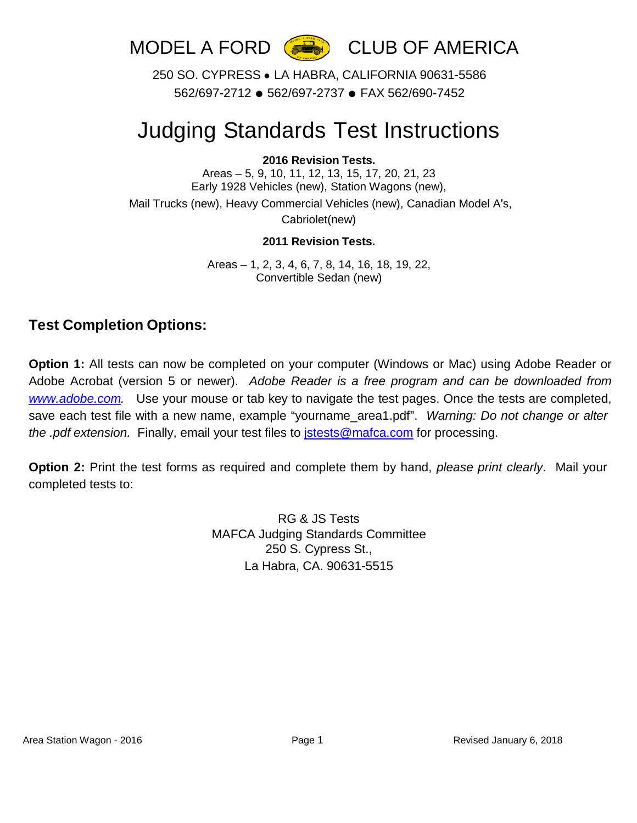

250 SO. CYPRESS ● LA HABRA, CALIFORNIA 90631-5586 562/697-2712 ● 562/697-2737 ● FAX 562/690-7452

# Judging Standards Test Instructions

#### **2016 Revision Tests.**

Areas – 5, 9, 10, 11, 12, 13, 15, 17, 20, 21, 23 Early 1928 Vehicles (new), Station Wagons (new), Mail Trucks (new), Heavy Commercial Vehicles (new), Canadian Model A's,

Cabriolet(new)

#### **2011 Revision Tests.**

Areas – 1, 2, 3, 4, 6, 7, 8, 14, 16, 18, 19, 22, Convertible Sedan (new)

### **Test Completion Options:**

**Option 1:** All tests can now be completed on your computer (Windows or Mac) using Adobe Reader or Adobe Acrobat (version 5 or newer). *Adobe Reader is a free program and can be downloaded from [www.adobe.com.](http://www.adobe.com/)* Use your mouse or tab key to navigate the test pages. Once the tests are completed, save each test file with a new name, example "yourname\_area1.pdf". *Warning: Do not change or alter the .pdf extension.* Finally, email your test files to [jstests@mafca.com](mailto:jstests@mafca.com) for processing.

**Option 2:** Print the test forms as required and complete them by hand, *please print clearly*. Mail your completed tests to:

> RG & JS Tests MAFCA Judging Standards Committee 250 S. Cypress St., La Habra, CA. 90631-5515